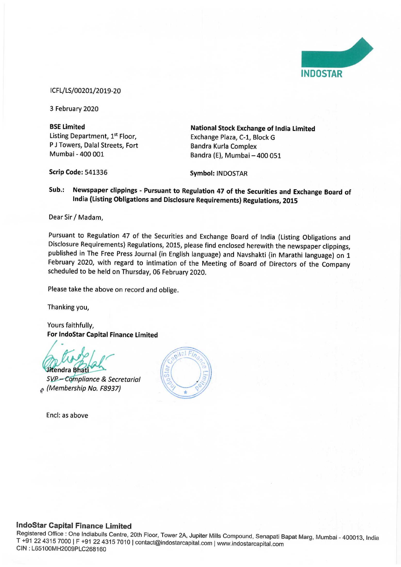

## ICFL/LS/00201/2019-20

3 February 2020

Listing Department, 1<sup>st</sup> Floor, Exchange Plaza, C-1, Block G P J Towers, Dalal Streets, Fort Bandra Kurla Complex

BSE Limited National Stock Exchange of India Limited Mumbai - 400 001 Bandra (E), Mumbai — 400 051

Scrip Code: 541336 Symbol: INDOSTAR

Sub.: Newspaper clippings - Pursuant to Regulation 47 of the Securities and Exchange Board of India (Listing Obligations and Disclosure Requirements) Regulations, 2015

Dear Sir / Madam,

Pursuant to Regulation 47 of the Securities and Exchange Board of India (Listing Obligations and<br>Disclosure Requirements) Regulations, 2015, please find enclosed herewith the newspaper clippings, published in The Free Press Journal (in English language) and Navshakti (in Marathi language) on 1<br>February 2020, with regard to intimation of the Meeting of Board of Directors of the Company scheduled to be held on Thursday, 06 February 2020.

Please take the above on record and oblige.

Thanking you,

Yours faithfully, For IndoStar Capital Finance Limited

Jitendra Bhati

SVP-Compliance & Secretarial  $_{\mathcal{E}}$  (Membership No. F8937)

Encl: as above



## IndoStar Capital Finance Limited

Registered Office : One Indiabulls Centre, 20th Floor, Tower 2A, Jupiter Mills Compound, Senapati Bapat Marg, Mumbai - 400013, India<br>T +91 22 4315 7000 | F +91 22 4315 7010 | contact@indostarcapital.com | www.indostarcapit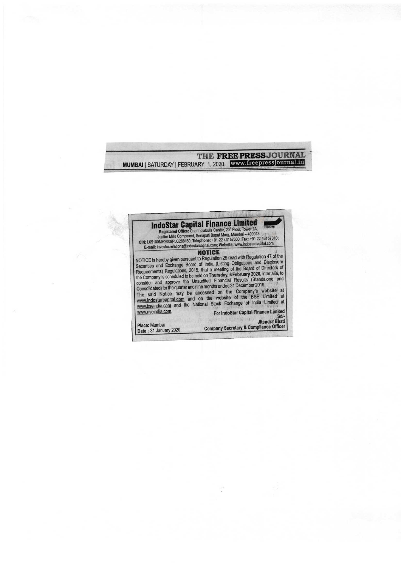THE FREE PRESS JOURNAL MUMBAI | SATURDAY | FEBRUARY 1, 2020 www.freepressjournal.in



 $\ddot{\cdot}$